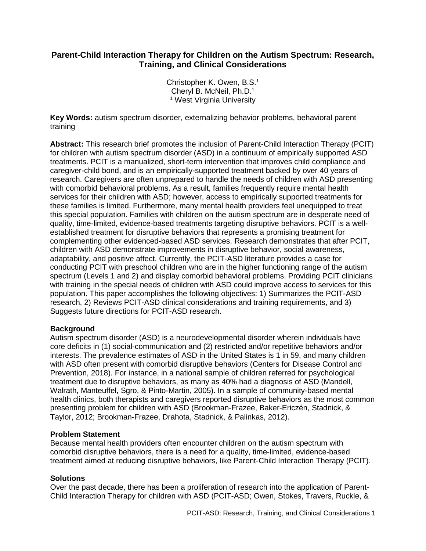# **Parent-Child Interaction Therapy for Children on the Autism Spectrum: Research, Training, and Clinical Considerations**

Christopher K. Owen, B.S.<sup>1</sup> Cheryl B. McNeil, Ph.D.<sup>1</sup> <sup>1</sup> West Virginia University

**Key Words:** autism spectrum disorder, externalizing behavior problems, behavioral parent training

**Abstract:** This research brief promotes the inclusion of Parent-Child Interaction Therapy (PCIT) for children with autism spectrum disorder (ASD) in a continuum of empirically supported ASD treatments. PCIT is a manualized, short-term intervention that improves child compliance and caregiver-child bond, and is an empirically-supported treatment backed by over 40 years of research. Caregivers are often unprepared to handle the needs of children with ASD presenting with comorbid behavioral problems. As a result, families frequently require mental health services for their children with ASD; however, access to empirically supported treatments for these families is limited. Furthermore, many mental health providers feel unequipped to treat this special population. Families with children on the autism spectrum are in desperate need of quality, time-limited, evidence-based treatments targeting disruptive behaviors. PCIT is a wellestablished treatment for disruptive behaviors that represents a promising treatment for complementing other evidenced-based ASD services. Research demonstrates that after PCIT, children with ASD demonstrate improvements in disruptive behavior, social awareness, adaptability, and positive affect. Currently, the PCIT-ASD literature provides a case for conducting PCIT with preschool children who are in the higher functioning range of the autism spectrum (Levels 1 and 2) and display comorbid behavioral problems. Providing PCIT clinicians with training in the special needs of children with ASD could improve access to services for this population. This paper accomplishes the following objectives: 1) Summarizes the PCIT-ASD research, 2) Reviews PCIT-ASD clinical considerations and training requirements, and 3) Suggests future directions for PCIT-ASD research.

## **Background**

Autism spectrum disorder (ASD) is a neurodevelopmental disorder wherein individuals have core deficits in (1) social-communication and (2) restricted and/or repetitive behaviors and/or interests. The prevalence estimates of ASD in the United States is 1 in 59, and many children with ASD often present with comorbid disruptive behaviors (Centers for Disease Control and Prevention, 2018). For instance, in a national sample of children referred for psychological treatment due to disruptive behaviors, as many as 40% had a diagnosis of ASD (Mandell, Walrath, Manteuffel, Sgro, & Pinto-Martin, 2005). In a sample of community-based mental health clinics, both therapists and caregivers reported disruptive behaviors as the most common presenting problem for children with ASD (Brookman-Frazee, Baker-Ericzén, Stadnick, & Taylor, 2012; Brookman-Frazee, Drahota, Stadnick, & Palinkas, 2012).

### **Problem Statement**

Because mental health providers often encounter children on the autism spectrum with comorbid disruptive behaviors, there is a need for a quality, time-limited, evidence-based treatment aimed at reducing disruptive behaviors, like Parent-Child Interaction Therapy (PCIT).

### **Solutions**

Over the past decade, there has been a proliferation of research into the application of Parent-Child Interaction Therapy for children with ASD (PCIT-ASD; Owen, Stokes, Travers, Ruckle, &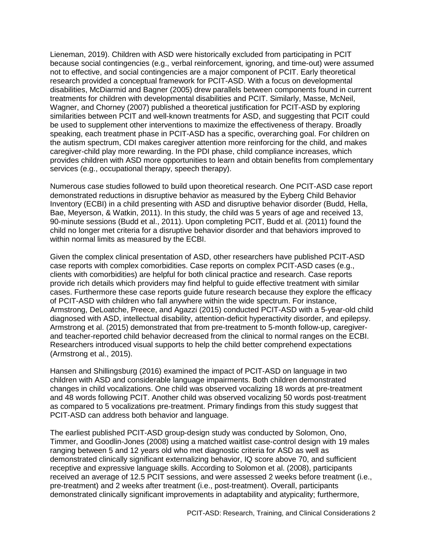Lieneman, 2019). Children with ASD were historically excluded from participating in PCIT because social contingencies (e.g., verbal reinforcement, ignoring, and time-out) were assumed not to effective, and social contingencies are a major component of PCIT. Early theoretical research provided a conceptual framework for PCIT-ASD. With a focus on developmental disabilities, McDiarmid and Bagner (2005) drew parallels between components found in current treatments for children with developmental disabilities and PCIT. Similarly, Masse, McNeil, Wagner, and Chorney (2007) published a theoretical justification for PCIT-ASD by exploring similarities between PCIT and well-known treatments for ASD, and suggesting that PCIT could be used to supplement other interventions to maximize the effectiveness of therapy. Broadly speaking, each treatment phase in PCIT-ASD has a specific, overarching goal. For children on the autism spectrum, CDI makes caregiver attention more reinforcing for the child, and makes caregiver-child play more rewarding. In the PDI phase, child compliance increases, which provides children with ASD more opportunities to learn and obtain benefits from complementary services (e.g., occupational therapy, speech therapy).

Numerous case studies followed to build upon theoretical research. One PCIT-ASD case report demonstrated reductions in disruptive behavior as measured by the Eyberg Child Behavior Inventory (ECBI) in a child presenting with ASD and disruptive behavior disorder (Budd, Hella, Bae, Meyerson, & Watkin, 2011). In this study, the child was 5 years of age and received 13, 90-minute sessions (Budd et al., 2011). Upon completing PCIT, Budd et al. (2011) found the child no longer met criteria for a disruptive behavior disorder and that behaviors improved to within normal limits as measured by the ECBI.

Given the complex clinical presentation of ASD, other researchers have published PCIT-ASD case reports with complex comorbidities. Case reports on complex PCIT-ASD cases (e.g., clients with comorbidities) are helpful for both clinical practice and research. Case reports provide rich details which providers may find helpful to guide effective treatment with similar cases. Furthermore these case reports guide future research because they explore the efficacy of PCIT-ASD with children who fall anywhere within the wide spectrum. For instance, Armstrong, DeLoatche, Preece, and Agazzi (2015) conducted PCIT-ASD with a 5-year-old child diagnosed with ASD, intellectual disability, attention-deficit hyperactivity disorder, and epilepsy. Armstrong et al. (2015) demonstrated that from pre-treatment to 5-month follow-up, caregiverand teacher-reported child behavior decreased from the clinical to normal ranges on the ECBI. Researchers introduced visual supports to help the child better comprehend expectations (Armstrong et al., 2015).

Hansen and Shillingsburg (2016) examined the impact of PCIT-ASD on language in two children with ASD and considerable language impairments. Both children demonstrated changes in child vocalizations. One child was observed vocalizing 18 words at pre-treatment and 48 words following PCIT. Another child was observed vocalizing 50 words post-treatment as compared to 5 vocalizations pre-treatment. Primary findings from this study suggest that PCIT-ASD can address both behavior and language.

The earliest published PCIT-ASD group-design study was conducted by Solomon, Ono, Timmer, and Goodlin-Jones (2008) using a matched waitlist case-control design with 19 males ranging between 5 and 12 years old who met diagnostic criteria for ASD as well as demonstrated clinically significant externalizing behavior, IQ score above 70, and sufficient receptive and expressive language skills. According to Solomon et al. (2008), participants received an average of 12.5 PCIT sessions, and were assessed 2 weeks before treatment (i.e., pre-treatment) and 2 weeks after treatment (i.e., post-treatment). Overall, participants demonstrated clinically significant improvements in adaptability and atypicality; furthermore,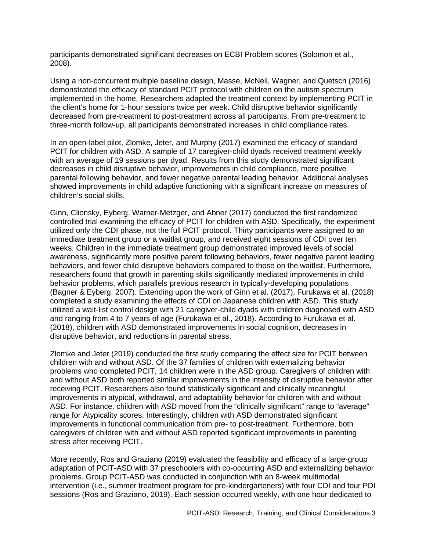participants demonstrated significant decreases on ECBI Problem scores (Solomon et al., 2008).

Using a non-concurrent multiple baseline design, Masse, McNeil, Wagner, and Quetsch (2016) demonstrated the efficacy of standard PCIT protocol with children on the autism spectrum implemented in the home. Researchers adapted the treatment context by implementing PCIT in the client's home for 1-hour sessions twice per week. Child disruptive behavior significantly decreased from pre-treatment to post-treatment across all participants. From pre-treatment to three-month follow-up, all participants demonstrated increases in child compliance rates.

In an open-label pilot, Zlomke, Jeter, and Murphy (2017) examined the efficacy of standard PCIT for children with ASD. A sample of 17 caregiver-child dyads received treatment weekly with an average of 19 sessions per dyad. Results from this study demonstrated significant decreases in child disruptive behavior, improvements in child compliance, more positive parental following behavior, and fewer negative parental leading behavior. Additional analyses showed improvements in child adaptive functioning with a significant increase on measures of children's social skills.

Ginn, Clionsky, Eyberg, Warner-Metzger, and Abner (2017) conducted the first randomized controlled trial examining the efficacy of PCIT for children with ASD. Specifically, the experiment utilized only the CDI phase, not the full PCIT protocol. Thirty participants were assigned to an immediate treatment group or a waitlist group, and received eight sessions of CDI over ten weeks. Children in the immediate treatment group demonstrated improved levels of social awareness, significantly more positive parent following behaviors, fewer negative parent leading behaviors, and fewer child disruptive behaviors compared to those on the waitlist. Furthermore, researchers found that growth in parenting skills significantly mediated improvements in child behavior problems, which parallels previous research in typically-developing populations (Bagner & Eyberg, 2007). Extending upon the work of Ginn et al. (2017), Furukawa et al. (2018) completed a study examining the effects of CDI on Japanese children with ASD. This study utilized a wait-list control design with 21 caregiver-child dyads with children diagnosed with ASD and ranging from 4 to 7 years of age (Furukawa et al., 2018). According to Furukawa et al. (2018), children with ASD demonstrated improvements in social cognition, decreases in disruptive behavior, and reductions in parental stress.

Zlomke and Jeter (2019) conducted the first study comparing the effect size for PCIT between children with and without ASD. Of the 37 families of children with externalizing behavior problems who completed PCIT, 14 children were in the ASD group. Caregivers of children with and without ASD both reported similar improvements in the intensity of disruptive behavior after receiving PCIT. Researchers also found statistically significant and clinically meaningful improvements in atypical, withdrawal, and adaptability behavior for children with and without ASD. For instance, children with ASD moved from the "clinically significant" range to "average" range for Atypicality scores. Interestingly, children with ASD demonstrated significant improvements in functional communication from pre- to post-treatment. Furthermore, both caregivers of children with and without ASD reported significant improvements in parenting stress after receiving PCIT.

More recently, Ros and Graziano (2019) evaluated the feasibility and efficacy of a large-group adaptation of PCIT-ASD with 37 preschoolers with co-occurring ASD and externalizing behavior problems. Group PCIT-ASD was conducted in conjunction with an 8-week multimodal intervention (i.e., summer treatment program for pre-kindergarteners) with four CDI and four PDI sessions (Ros and Graziano, 2019). Each session occurred weekly, with one hour dedicated to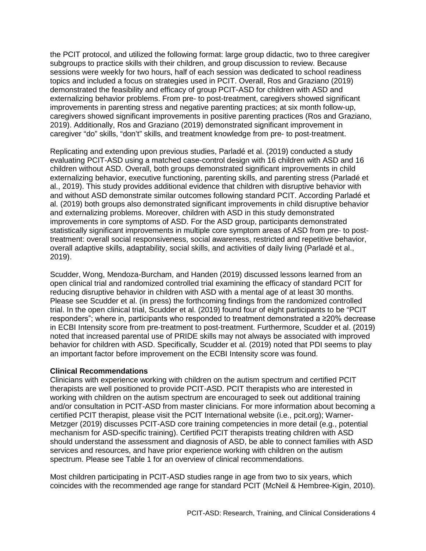the PCIT protocol, and utilized the following format: large group didactic, two to three caregiver subgroups to practice skills with their children, and group discussion to review. Because sessions were weekly for two hours, half of each session was dedicated to school readiness topics and included a focus on strategies used in PCIT. Overall, Ros and Graziano (2019) demonstrated the feasibility and efficacy of group PCIT-ASD for children with ASD and externalizing behavior problems. From pre- to post-treatment, caregivers showed significant improvements in parenting stress and negative parenting practices; at six month follow-up, caregivers showed significant improvements in positive parenting practices (Ros and Graziano, 2019). Additionally, Ros and Graziano (2019) demonstrated significant improvement in caregiver "do" skills, "don't" skills, and treatment knowledge from pre- to post-treatment.

Replicating and extending upon previous studies, Parladé et al. (2019) conducted a study evaluating PCIT-ASD using a matched case-control design with 16 children with ASD and 16 children without ASD. Overall, both groups demonstrated significant improvements in child externalizing behavior, executive functioning, parenting skills, and parenting stress (Parladé et al., 2019). This study provides additional evidence that children with disruptive behavior with and without ASD demonstrate similar outcomes following standard PCIT. According Parladé et al. (2019) both groups also demonstrated significant improvements in child disruptive behavior and externalizing problems. Moreover, children with ASD in this study demonstrated improvements in core symptoms of ASD. For the ASD group, participants demonstrated statistically significant improvements in multiple core symptom areas of ASD from pre- to posttreatment: overall social responsiveness, social awareness, restricted and repetitive behavior, overall adaptive skills, adaptability, social skills, and activities of daily living (Parladé et al., 2019).

Scudder, Wong, Mendoza-Burcham, and Handen (2019) discussed lessons learned from an open clinical trial and randomized controlled trial examining the efficacy of standard PCIT for reducing disruptive behavior in children with ASD with a mental age of at least 30 months. Please see Scudder et al. (in press) the forthcoming findings from the randomized controlled trial. In the open clinical trial, Scudder et al. (2019) found four of eight participants to be "PCIT responders"; where in, participants who responded to treatment demonstrated a ≥20% decrease in ECBI Intensity score from pre-treatment to post-treatment. Furthermore, Scudder et al. (2019) noted that increased parental use of PRIDE skills may not always be associated with improved behavior for children with ASD. Specifically, Scudder et al. (2019) noted that PDI seems to play an important factor before improvement on the ECBI Intensity score was found.

## **Clinical Recommendations**

Clinicians with experience working with children on the autism spectrum and certified PCIT therapists are well positioned to provide PCIT-ASD. PCIT therapists who are interested in working with children on the autism spectrum are encouraged to seek out additional training and/or consultation in PCIT-ASD from master clinicians. For more information about becoming a certified PCIT therapist, please visit the PCIT International website (i.e., pcit.org); Warner-Metzger (2019) discusses PCIT-ASD core training competencies in more detail (e.g., potential mechanism for ASD-specific training). Certified PCIT therapists treating children with ASD should understand the assessment and diagnosis of ASD, be able to connect families with ASD services and resources, and have prior experience working with children on the autism spectrum. Please see Table 1 for an overview of clinical recommendations.

Most children participating in PCIT-ASD studies range in age from two to six years, which coincides with the recommended age range for standard PCIT (McNeil & Hembree-Kigin, 2010).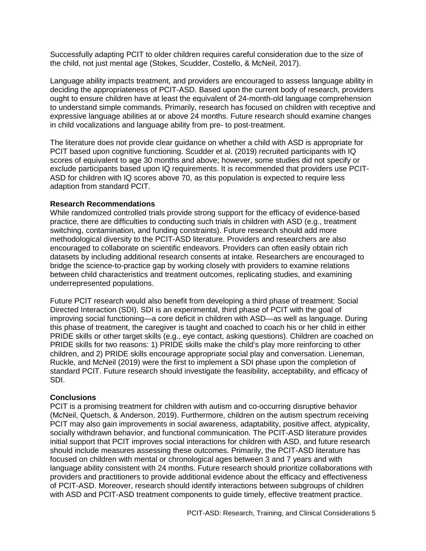Successfully adapting PCIT to older children requires careful consideration due to the size of the child, not just mental age (Stokes, Scudder, Costello, & McNeil, 2017).

Language ability impacts treatment, and providers are encouraged to assess language ability in deciding the appropriateness of PCIT-ASD. Based upon the current body of research, providers ought to ensure children have at least the equivalent of 24-month-old language comprehension to understand simple commands. Primarily, research has focused on children with receptive and expressive language abilities at or above 24 months. Future research should examine changes in child vocalizations and language ability from pre- to post-treatment.

The literature does not provide clear guidance on whether a child with ASD is appropriate for PCIT based upon cognitive functioning. Scudder et al. (2019) recruited participants with IQ scores of equivalent to age 30 months and above; however, some studies did not specify or exclude participants based upon IQ requirements. It is recommended that providers use PCIT-ASD for children with IQ scores above 70, as this population is expected to require less adaption from standard PCIT.

### **Research Recommendations**

While randomized controlled trials provide strong support for the efficacy of evidence-based practice, there are difficulties to conducting such trials in children with ASD (e.g., treatment switching, contamination, and funding constraints). Future research should add more methodological diversity to the PCIT-ASD literature. Providers and researchers are also encouraged to collaborate on scientific endeavors. Providers can often easily obtain rich datasets by including additional research consents at intake. Researchers are encouraged to bridge the science-to-practice gap by working closely with providers to examine relations between child characteristics and treatment outcomes, replicating studies, and examining underrepresented populations.

Future PCIT research would also benefit from developing a third phase of treatment: Social Directed Interaction (SDI). SDI is an experimental, third phase of PCIT with the goal of improving social functioning—a core deficit in children with ASD—as well as language. During this phase of treatment, the caregiver is taught and coached to coach his or her child in either PRIDE skills or other target skills (e.g., eye contact, asking questions). Children are coached on PRIDE skills for two reasons: 1) PRIDE skills make the child's play more reinforcing to other children, and 2) PRIDE skills encourage appropriate social play and conversation. Lieneman, Ruckle, and McNeil (2019) were the first to implement a SDI phase upon the completion of standard PCIT. Future research should investigate the feasibility, acceptability, and efficacy of SDI.

### **Conclusions**

PCIT is a promising treatment for children with autism and co-occurring disruptive behavior (McNeil, Quetsch, & Anderson, 2019). Furthermore, children on the autism spectrum receiving PCIT may also gain improvements in social awareness, adaptability, positive affect, atypicality, socially withdrawn behavior, and functional communication. The PCIT-ASD literature provides initial support that PCIT improves social interactions for children with ASD, and future research should include measures assessing these outcomes. Primarily, the PCIT-ASD literature has focused on children with mental or chronological ages between 3 and 7 years and with language ability consistent with 24 months. Future research should prioritize collaborations with providers and practitioners to provide additional evidence about the efficacy and effectiveness of PCIT-ASD. Moreover, research should identify interactions between subgroups of children with ASD and PCIT-ASD treatment components to guide timely, effective treatment practice.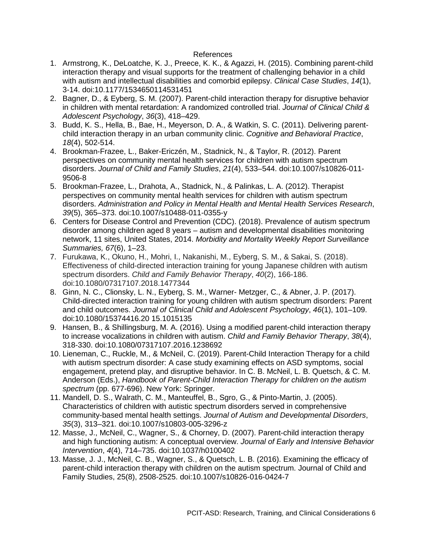#### References

- 1. Armstrong, K., DeLoatche, K. J., Preece, K. K., & Agazzi, H. (2015). Combining parent-child interaction therapy and visual supports for the treatment of challenging behavior in a child with autism and intellectual disabilities and comorbid epilepsy. *Clinical Case Studies*, *14*(1), 3-14. doi:10.1177/1534650114531451
- 2. Bagner, D., & Eyberg, S. M. (2007). Parent-child interaction therapy for disruptive behavior in children with mental retardation: A randomized controlled trial. *Journal of Clinical Child & Adolescent Psychology*, *36*(3), 418–429.
- 3. Budd, K. S., Hella, B., Bae, H., Meyerson, D. A., & Watkin, S. C. (2011). Delivering parentchild interaction therapy in an urban community clinic. *Cognitive and Behavioral Practice*, *18*(4), 502-514.
- 4. Brookman-Frazee, L., Baker-Ericzén, M., Stadnick, N., & Taylor, R. (2012). Parent perspectives on community mental health services for children with autism spectrum disorders. *Journal of Child and Family Studies*, *21*(4), 533–544. doi:10.1007/s10826-011- 9506-8
- 5. Brookman-Frazee, L., Drahota, A., Stadnick, N., & Palinkas, L. A. (2012). Therapist perspectives on community mental health services for children with autism spectrum disorders. *Administration and Policy in Mental Health and Mental Health Services Research*, *39*(5), 365–373. doi:10.1007/s10488-011-0355-y
- 6. Centers for Disease Control and Prevention (CDC). (2018). Prevalence of autism spectrum disorder among children aged 8 years – autism and developmental disabilities monitoring network, 11 sites, United States, 2014. *Morbidity and Mortality Weekly Report Surveillance Summaries, 67*(6), 1–23.
- 7. Furukawa, K., Okuno, H., Mohri, I., Nakanishi, M., Eyberg, S. M., & Sakai, S. (2018). Effectiveness of child-directed interaction training for young Japanese children with autism spectrum disorders. *Child and Family Behavior Therapy*, *40*(2), 166-186. doi:10.1080/07317107.2018.1477344
- 8. Ginn, N. C., Clionsky, L. N., Eyberg, S. M., Warner- Metzger, C., & Abner, J. P. (2017). Child-directed interaction training for young children with autism spectrum disorders: Parent and child outcomes. *Journal of Clinical Child and Adolescent Psychology*, *46*(1), 101–109. doi:10.1080/15374416.20 15.1015135
- 9. Hansen, B., & Shillingsburg, M. A. (2016). Using a modified parent-child interaction therapy to increase vocalizations in children with autism. *Child and Family Behavior Therapy*, *38*(4), 318-330. doi:10.1080/07317107.2016.1238692
- 10. Lieneman, C., Ruckle, M., & McNeil, C. (2019). Parent-Child Interaction Therapy for a child with autism spectrum disorder: A case study examining effects on ASD symptoms, social engagement, pretend play, and disruptive behavior. In C. B. McNeil, L. B. Quetsch, & C. M. Anderson (Eds.), *Handbook of Parent-Child Interaction Therapy for children on the autism spectrum* (pp. 677-696). New York: Springer.
- 11. Mandell, D. S., Walrath, C. M., Manteuffel, B., Sgro, G., & Pinto-Martin, J. (2005). Characteristics of children with autistic spectrum disorders served in comprehensive community-based mental health settings. *Journal of Autism and Developmental Disorders*, *35*(3), 313–321. doi:10.1007/s10803-005-3296-z
- 12. Masse, J., McNeil, C., Wagner, S., & Chorney, D. (2007). Parent-child interaction therapy and high functioning autism: A conceptual overview. *Journal of Early and Intensive Behavior Intervention*, *4*(4), 714–735. doi:10.1037/h0100402
- 13. Masse, J. J., McNeil, C. B., Wagner, S., & Quetsch, L. B. (2016). Examining the efficacy of parent-child interaction therapy with children on the autism spectrum. Journal of Child and Family Studies, 25(8), 2508-2525. doi:10.1007/s10826-016-0424-7